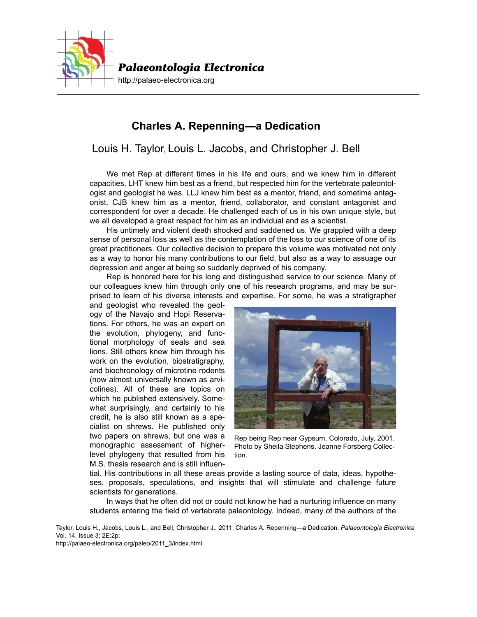

## **Charles A. Repenning—a Dedication**

Louis H. Taylor, Louis L. Jacobs, and Christopher J. Bell

We met Rep at different times in his life and ours, and we knew him in different capacities. LHT knew him best as a friend, but respected him for the vertebrate paleontologist and geologist he was. LLJ knew him best as a mentor, friend, and sometime antagonist. CJB knew him as a mentor, friend, collaborator, and constant antagonist and correspondent for over a decade. He challenged each of us in his own unique style, but we all developed a great respect for him as an individual and as a scientist.

His untimely and violent death shocked and saddened us. We grappled with a deep sense of personal loss as well as the contemplation of the loss to our science of one of its great practitioners. Our collective decision to prepare this volume was motivated not only as a way to honor his many contributions to our field, but also as a way to assuage our depression and anger at being so suddenly deprived of his company.

Rep is honored here for his long and distinguished service to our science. Many of our colleagues knew him through only one of his research programs, and may be surprised to learn of his diverse interests and expertise. For some, he was a stratigrapher

and geologist who revealed the geology of the Navajo and Hopi Reservations. For others, he was an expert on the evolution, phylogeny, and functional morphology of seals and sea lions. Still others knew him through his work on the evolution, biostratigraphy, and biochronology of microtine rodents (now almost universally known as arvicolines). All of these are topics on which he published extensively. Somewhat surprisingly, and certainly to his credit, he is also still known as a specialist on shrews. He published only two papers on shrews, but one was a monographic assessment of higherlevel phylogeny that resulted from his M.S. thesis research and is still influen-



Rep being Rep near Gypsum, Colorado, July, 2001. Photo by Sheila Stephens. Jeanne Forsberg Collection.

tial. His contributions in all these areas provide a lasting source of data, ideas, hypotheses, proposals, speculations, and insights that will stimulate and challenge future scientists for generations.

In ways that he often did not or could not know he had a nurturing influence on many students entering the field of vertebrate paleontology. Indeed, many of the authors of the

Taylor, Louis H., Jacobs, Louis L., and Bell, Christopher J., 2011. Charles A. Repenning—a Dedication. *Palaeontologia Electronica*  Vol. 14, Issue 3; 2E:2p;

http://palaeo-electronica.org/paleo/2011\_3/index.html